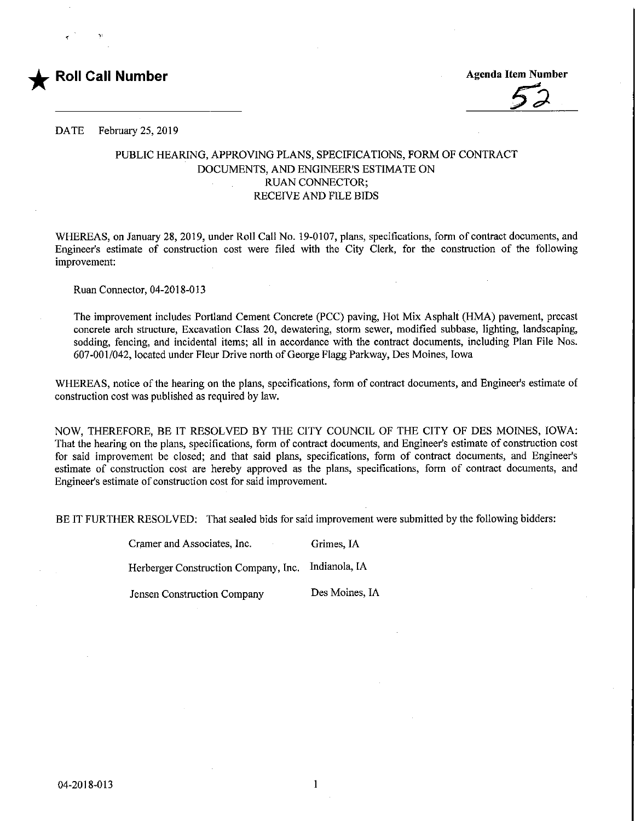

DATE February 25, 2019

## PUBLIC HEARING, APPROVING PLANS, SPECIFICATIONS, FORM OF CONTRACT DOCUMENTS, AND ENGINEER'S ESTIMATE ON RUAN CONNECTOR; RECEIVE AND FILE BIDS

WHEREAS, on January 28, 2019, under Roll Call No. 19-0107, plans, specifications, form of contract documents, and Engineer's estimate of construction cost were filed with the City Clerk, for the construction of the following improvement:

Ruan Connector, 04-2018-013

The improvement includes Portland Cement Concrete (PCC) paving, Hot Mix Asphalt (HMA) pavement, precast concrete arch structure. Excavation Class 20, dewatering, storm sewer, modified subbase, lighting, landscaping, sodding, fencing, and incidental items; all in accordance with the contract documents, including Plan File Nos. 607-001/042, located under Fleur Drive north of George Flagg Parkway, Des Moines, Iowa

WHEREAS, notice of the hearing on the plans, specifications, form of contract documents, and Engineer's estimate of construction cost was published as required by law.

NOW, THEREFORE, BE IT RESOLVED BY THE CITY COUNCIL OF THE CITY OF DES MOINES, IOWA: That the hearing on the plans, specifications, form of contract documents, and Engineer's estimate of construction cost for said improvement be closed; and that said plans, specifications, form of contract documents, and Engineer's estimate of construction cost are hereby approved as the plans, specifications, form of contract documents, and Engineer's estimate of construction cost for said improvement.

BE IT FURTHER RESOLVED; That sealed bids for said improvement were submitted by the following bidders:

Cramer and Associates, Inc. Grimes, IA

Herberger Construction Company, Inc. Indianola, IA

Jensen Constmction Company Des Moines, IA

1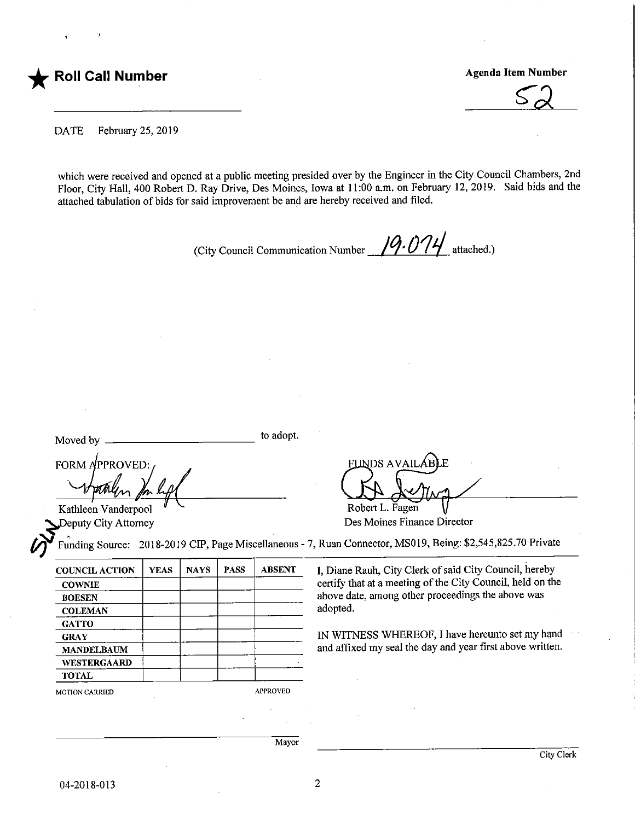

 $52$ 

DATE February 25, 2019

which were received and opened at a public meeting presided over by the Engineer in the City Council Chambers, 2nd Floor, City Hall, 400 Robert D. Ray Drive, Des Moines, Iowa at 11:00 a.m. on February 12, 2019. Said bids and the attached tabulation of bids for said improvement be and are hereby received and filed.

(City Council Communication Number  $\frac{\sqrt{9.074}}{4}$  attached.)

Moved by

to adopt.

FORM APPROVED:

Kathleen Vanderpool

INDS AVAILÁB Robert L. Fagen

Deputy City Attorney **Des Moines Finance Director** 

Funding Source: 2018-2019 CIP, Page Miscellaneous - 7, Ruan Connector, MS019, Being: \$2,545,825.70 Private

| <b>YEAS</b>           | <b>NAYS</b> | <b>PASS</b> | <b>ABSENT</b> |  |
|-----------------------|-------------|-------------|---------------|--|
|                       |             |             |               |  |
|                       |             |             |               |  |
|                       |             |             |               |  |
|                       |             |             |               |  |
|                       |             |             |               |  |
|                       |             |             |               |  |
|                       |             |             |               |  |
|                       |             |             |               |  |
| <b>MOTION CARRIED</b> |             |             |               |  |
|                       |             |             |               |  |

I, Diane Rauh, City Clerk of said City Council, hereby certify that at a meeting of the City Council, held on the above date, among other proceedings the above was adopted.

IN WITNESS WHEREOF, I have hereunfo set my hand and affixed my seal the day and year first above written.

Mayor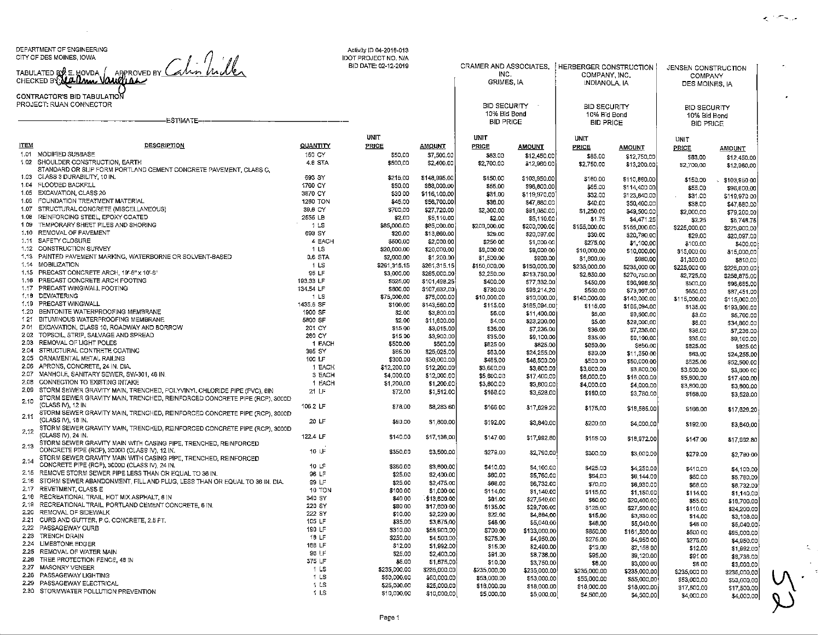DEPARTMENT OF ENGINEERING

CITY OF DES MOINES, IOWA<br>TABULATED BY<sup>O</sup>LE. HOVDA<br>CHECKED BY<mark>QUALIMMAD</mark>

CONTRACTOR'S BILANCE

 $\sim$ 

|              | CONTRACTOR'S BID TABULATION                                                                                |                            |                     |                             |                                     |                            |                                  |                            |                                  |                             |
|--------------|------------------------------------------------------------------------------------------------------------|----------------------------|---------------------|-----------------------------|-------------------------------------|----------------------------|----------------------------------|----------------------------|----------------------------------|-----------------------------|
|              | PROJECT: RUAN CONNECTOR                                                                                    |                            |                     |                             | <b>BID SECURITY</b><br>10% Bid Bond |                            | <b>BID SECURITY</b>              |                            | <b>BID SECURITY</b>              |                             |
|              | <b>ESTIMATE</b>                                                                                            |                            |                     |                             | <b>BID PRICE</b>                    |                            | 10% Bid Bond<br><b>BID PRICE</b> |                            | 10% Bid Bond<br><b>BID PRICE</b> |                             |
|              |                                                                                                            |                            | <b>UNIT</b>         |                             | UNIT                                |                            | <b>UNIT</b>                      |                            |                                  |                             |
| <b>ITEM</b>  | <b>DESCRIPTION</b>                                                                                         | QUANTITY                   | PRICE               | <b>AMOUNT</b>               | PRICE                               | <b>AMOUNT</b>              | <b>PRICE</b>                     | <u>AMOUNT</u>              | <b>UNIT</b><br><b>PRICE</b>      |                             |
| 1.01         | MODIFIED SUBBASE                                                                                           | 150 CY                     | \$50.00             | \$7,500.00                  | \$83.00                             | \$12,450.00                | \$85.00                          | \$12,750,00                | \$83.00                          | <b>AMOUNT</b>               |
| $1.02 -$     | SHOULDER CONSTRUCTION, EARTH                                                                               | 4.8 STA                    | \$500,00            | \$2,400.00                  | \$2,700.00                          | \$12,960.00                | \$2,750.00                       | \$13,200.00                | \$2,700.00                       | \$12,450.00<br>\$12,960.00  |
|              | STANDARD OR SLIP FORM PORTLAND CEMENT CONCRETE PAVEMENT, CLASS C.                                          |                            |                     |                             |                                     |                            |                                  |                            |                                  |                             |
|              | 1.03 CLASS 3 DURABILITY, 10 IN.                                                                            | 693 SY                     | \$215,00            | \$148,995.00                | \$150.00                            | \$103,950.00               | \$160.00                         | \$110,880.00               | \$150.00                         | \$103,950.00                |
| 1.05         | 1.04 FLOODED BACKFILL<br>EXCAVATION, CLASS 20                                                              | 1760 CY                    | \$50.00             | \$88,000.00                 | \$55.00                             | \$96,800.00                | \$65.00                          | \$114,400.00               | \$55.00                          | \$96,800,00                 |
| 1.06         | FOUNDATION TREATMENT MATERIAL                                                                              | 3870 CY<br><b>1260 TON</b> | \$30.00<br>\$45.00  | \$116,100.00<br>\$56,700.00 | \$31.00<br>\$38.00                  | \$119,970.00               | \$32.00                          | \$123,840.00               | \$31.00                          | \$119,970.00                |
| 1.07         | STRUCTURAL CONCRETE (MISCELLANEOUS)                                                                        | 39.6 CY                    | \$700,00            | \$27,720.00                 | \$2,300.00                          | \$47,880.00<br>\$91,080.00 | \$40,00                          | \$50,400.00                | \$38.00                          | \$47,880.00                 |
| 1.08         | REINFORCING STEEL, EPOXY COATED                                                                            | 2555 LB                    | \$2.00              | \$5,110.00                  | \$2.00                              | \$5,110.00                 | \$1,250.00<br>\$1.75             | \$49,500.00                | \$2,000.00                       | \$79,200,00                 |
| 1.09         | TEMPORARY SHEET PILES AND SHORING                                                                          | 1 <sub>LS</sub>            | \$85,000,00         | \$85,000.00                 | \$200,000.00                        | \$200,000.00               | \$155,000,00                     | \$4,471.25<br>\$155,000.00 | \$2.25<br>\$225,000,00           | \$5,748.75                  |
|              | 1.10 REMOVAL OF PAVEMENT                                                                                   | 693 SY                     | \$20.00             | \$13,060.00                 | \$29.00                             | \$20,097.00                | \$30.00                          | \$20,790,00                | \$29.00                          | \$225,000.00<br>\$20,097.00 |
| 1.11         | SAFETY CLOSURE                                                                                             | 4 EACH                     | \$500.00            | \$2,000.00                  | \$250.00                            | \$1,000.00                 | \$275.00                         | \$1,100,00                 | \$100.00                         | \$400.00                    |
|              | 1.12 CONSTRUCTION SURVEY                                                                                   | 1 LS                       | \$20,000.00         | \$20,000.00                 | \$9,000.00                          | \$9,000.00                 | \$10,000,00                      | \$10,000.00                | \$15,000.00                      | \$15,000,00                 |
|              | 1.13 PAINTED PAVEMENT MARKING, WATERBORNE OR SOLVENT-BASED                                                 | 0.6 STA                    | \$2,000.00          | \$1,200.00                  | \$1,500.00                          | \$900.00                   | \$1,600.00                       | \$960.00                   | \$1,350.00                       | \$810,00                    |
| 1.14         | <b>MOBILIZATION</b>                                                                                        | 1 <sub>LS</sub>            | \$261,315,15        | \$261,315.15                | \$150,000.00                        | \$150,000.00               | \$235,000.00                     | \$235,000.00               | \$225,000.00                     | \$225,000.00                |
| 1.15         | PRECAST CONCRETE ARCH, 19'-6" x 10'-6"                                                                     | 95 LF                      | \$3,000.00          | \$285,000.00                | \$2,250.00                          | \$213,750.00               | \$2,850.00                       | \$270,750.00               | \$2,725,00                       | \$258,875.00                |
| 1.16         | PRECAST CONCRETE ARCH FOOTING                                                                              | 193.33 LF                  | \$525.00            | \$101,498,25                | \$400.00                            | \$77,332.00                | \$450,00                         | \$66,998,50                | \$500.00                         | \$96,665.00                 |
| 1.17<br>1.18 | PRECAST WINGWALL FOOTING<br><b>DEWATERING</b>                                                              | 134.54 LF                  | \$600.00            | \$107,632,00                | \$730.00                            | \$98,214,20                | \$550.00                         | \$73,997.00                | \$650.00                         | \$87,451,00                 |
| 1.19         | PRECAST WINGWALL                                                                                           | 1 LS<br>1435.6 SF          | \$75,000,00         | \$75,000.00                 | \$10,000.00                         | \$10,000.00                | \$140,000.00                     | \$140,000.00               | \$115,000,00                     | \$115,000.00                |
| 1.20         | BENTONITE WATERPROOFING MEMBRANE                                                                           | 1900 SF                    | \$100.00<br>\$2.00  | \$143,560.00<br>\$3,800.00  | \$115.00                            | \$165,094.00               | \$115,00                         | \$165,094.00               | \$135.00                         | \$193,806.00                |
| 1.21         | BITUMINOUS WATERPROOFING MEMBRANE                                                                          | 5800 SF                    | \$2.00              | \$11,600.00                 | \$6.00<br>\$4,00                    | \$11,400,00<br>\$23,200.00 | \$5,00                           | \$9,500.00                 | \$3.00                           | \$5,700.00                  |
| 2.01         | EXCAVATION, CLASS 10, ROADWAY AND BORROW                                                                   | 201 CY                     | \$15.00             | \$3,015.00                  | \$36.00                             | \$7,236.00                 | \$5.00<br>\$36.00                | \$29,000,00                | \$6.00                           | \$34,800.00                 |
| 2.02         | TOPSOIL, STRIP, SALVAGE AND SPREAD                                                                         | 260 CY                     | \$15.00             | \$3,900,00                  | \$35.00                             | \$9,100.00                 | \$35.00                          | \$7,236,00<br>\$9,100,00   | \$36.00                          | \$7,236.00                  |
| 2.03         | REMOVAL OF LIGHT POLES                                                                                     | 1 EACH                     | \$500.00            | \$500,00                    | \$825.00                            | \$825.00                   | \$850.00                         | \$850.00                   | \$35.00<br>\$825.00              | \$9,100.00<br>\$825.00      |
|              | 2.04 STRUCTURAL CONTRETE COATING                                                                           | 385 SY                     | \$65.00             | \$25,025.00                 | \$63.00                             | \$24,255.00                | \$30.00                          | \$11,550.00                | \$63,00                          | \$24,255.00                 |
| 2.05         | ORNAMENTAL METAL RAILING                                                                                   | 100 LF                     | \$300.00            | \$30,000.00                 | \$465.00                            | \$46,500.00                | \$500.00                         | \$50,000.00                | \$525.00                         | \$52,500.00                 |
| 2.06         | APRONS, CONCRETE, 24 IN, DIA                                                                               | 1 EACH                     | \$12,200.00         | \$12,200,00                 | \$3,600.00                          | \$3,600.00                 | \$3,800.00                       | \$3,800.00                 | \$3,600.00                       | \$3,600.00                  |
| 2.07         | MANHOLE, SANITARY SEWER, SW-301, 48 IN                                                                     | 3 EACH                     | \$4,000.00          | \$12,000.00                 | \$5,800,00                          | \$17,400,00                | \$6,000.00                       | \$16,000.00                | \$5,800,00                       | \$17,400,00                 |
| 2.08         | CONNECTION TO EXISTING INTAKE                                                                              | 1 EACH                     | \$1,200,00          | \$1,200.00                  | \$3,600.00                          | \$3,800,00                 | \$4,000.00                       | \$4,000,00                 | \$3,800.00                       | \$3,800.00                  |
| 2.09         | STORM SEWER GRAVITY MAIN, TRENCHED, POLYVINYL CHLORIDE PIPE (PVC), 8IN                                     | 21 LF                      | \$72.00             | \$1,512.00                  | \$168.00                            | \$3,528,00                 | \$180,00                         | \$3,780.00                 | \$168.00                         | \$3,528,00                  |
| 2.10         | STORM SEWER GRAVITY MAIN, TRENCHED, REINFORCED CONCRETE PIPE (RCP), 3000D<br>(CLASS IV), 12 IN             | 106.2 LF                   |                     |                             |                                     |                            |                                  |                            |                                  |                             |
|              | STORM SEWER GRAVITY MAIN, TRENCHED, REINFORCED CONCRETE PIPE (RCP), 3000D                                  |                            | \$78.00             | \$8,283.60                  | \$166.00                            | \$17,629.20                | \$175.00                         | \$18,585.00                | \$166.00                         | \$17,629.20                 |
| 2.11         | (CLASS IV), 18 IN.                                                                                         | 20 LF                      | \$90.00             | \$1,800.00                  | \$192.00                            | \$3,840.00                 |                                  |                            |                                  |                             |
|              | STORM SEWER GRAVITY MAIN, TRENCHED, REINFORCED CONCRETE PIPE (RCP), 3000D                                  |                            |                     |                             |                                     |                            | \$200,00                         | \$4,000.00                 | \$192.00                         | \$3,840,00                  |
| 2.12         | (CLASS IV), 24 IN.                                                                                         | 122.4 LF                   | \$140.00            | \$17,136.00                 | \$147.00                            | \$17 992 80                | \$155.00                         | \$18,972.00                | \$147.00                         | \$17,992.80                 |
| 2.13         | STORM SEWER GRAVITY MAIN WITH CASING PIPE, TRENCHED, REINFORCED                                            |                            |                     |                             |                                     |                            |                                  |                            |                                  |                             |
|              | CONCRETE PIPE (RCP), 3000D (CLASS IV), 12 IN.                                                              | 10 LF                      | \$350,00            | \$3,500,00                  | \$279.00                            | \$2,790,00                 | \$300.00                         | \$3,000.00                 | \$279.00                         | \$2,790.00                  |
| 2.14         | STORM SEWER GRAVITY MAIN WITH CASING PIPE, TRENCHED, REINFORCED                                            |                            |                     |                             |                                     |                            |                                  |                            |                                  |                             |
|              | CONCRETE PIPE (RCP), 3000D (CLASS IV), 24 IN.<br>2.15 REMOVE STORM SEWER PIPE LESS THAN OR EQUAL TO 36 IN. | 10LF<br>96 LF              | \$380.00            | \$3,800.00                  | \$410.00                            | \$4,100.00                 | \$425.00                         | \$4,250.00                 | \$410,00                         | \$4,100.00                  |
| 2.16         | STORM SEWER ABANDONMENT, FILL AND PLUG, LESS THAN OR EQUAL TO 36 IN. DIA.                                  | 991F                       | \$25,00             | \$2,400.00                  | \$60.00                             | \$5,760,00                 | \$64,00                          | \$6,144.00                 | \$60.00                          | \$5,760.00                  |
| 2.17         | REVETMENT, CLASS E                                                                                         | <b>10 TON</b>              | \$25,00<br>\$100.00 | \$2,475.00                  | \$68.00                             | \$6,732.00                 | \$70.00                          | \$6,930.00                 | \$68.00                          | \$6,732.00                  |
| 2.1B         | RECREATIONAL TRAIL HOT MIX ASPHALT, 6 IN                                                                   | 340 SY                     | \$40.00             | \$1,000.00<br>\$13,600.00   | \$114,00<br>\$81.00                 | \$1,140.00                 | \$115,00                         | \$1,150.00                 | \$114.00                         | \$1,140.00                  |
| 2.19         | RECREATIONAL TRAIL, PORTLAND CEMENT CONCRETE, 6 IN.                                                        | 220 SY                     | \$80.00             | \$17,600.00                 | \$135,00                            | \$27,540,00<br>\$29.700.00 | \$60,00                          | \$20,400,00                | \$55.00                          | \$18,700.00                 |
| 220          | REMOVAL OF SIDEWALK                                                                                        | 222 SY                     | \$10.00             | \$2,220.00                  | \$22,00                             | \$4,884,00                 | \$125,00<br>\$15.00              | \$27,500,00<br>\$3,330.00  | \$110.00<br>\$14.00              | \$24,200.00                 |
|              | 2.21 CURB AND GUTTER, P.C. CONCRETE, 2.5 FT.                                                               | 105 LF                     | \$35.00             | \$3,675.00                  | \$48.00                             | \$5,040,00                 | \$48.00                          | \$5,040.00                 | \$48.00                          | \$3,108,00                  |
|              | 2,22 PASSAGEWAY CURB                                                                                       | 190 LF                     | \$310.00            | \$58,900.00                 | \$700.00                            | \$133,000.00               | \$850.00                         | \$161,500.00               | \$500.00                         | \$5,040.00<br>\$95,000.00   |
| 2.23         | <b>TRENCH DRAIN</b>                                                                                        | 18 LF                      | \$250.00            | \$4,500.00                  | \$275.00                            | \$4,950.00                 | \$275.00                         | \$4,950.00                 | \$275.00                         | \$4,950.00                  |
|              | 2.24 LIMESTONE EDGER                                                                                       | 166 LF                     | \$12,00             | \$1,992.00                  | \$15.00                             | \$2,490.00                 | \$13.00                          | \$2,158.00                 | \$12.00                          | \$1,992.00                  |
|              | 2.25 REMOVAL OF WATER MAIN                                                                                 | 96 LF                      | \$25.00             | \$2,400,00                  | \$91.00                             | \$8,736.00                 | \$95.00                          | \$9,120.00                 | \$91.00                          | \$8,736.00                  |
| 226          | TREE PROTECTION FENCE, 48 IN                                                                               | 375 LF                     | \$5.00              | \$1,875.00                  | \$10.00                             | \$3,750.00                 | \$8.00                           | \$3,000.00                 | \$5.00                           | \$3,000.00                  |
| 2.27<br>2.28 | MASONRY VENEER                                                                                             | 1 LS                       | \$235,000.00        | \$235,000.00                | \$235,000.00                        | \$235,000.00               | \$235,000.00                     | \$235,000.00               | \$235,000.00                     | \$235,000.00                |
| 2.29         | PASSAGEWAY LIGHTING<br>PASSAGEWAY ELECTRICAL                                                               | 1LS                        | \$50,000.00         | \$50,000.00                 | \$53,000.00                         | \$53,000.00                | \$55,000.00                      | \$55,000.00                | \$53,000,00                      | \$53,000.00                 |
|              | 2.30 STORMWATER POLLUTION PREVENTION                                                                       | 1 <sub>LS</sub>            | \$25,000.00         | \$25,000,00                 | \$18,000.00                         | \$18,000.00                | \$18,000.00                      | \$18,000.00                | \$17,500.00                      | \$17,500.00                 |
|              |                                                                                                            | 1LS                        | \$10,000.00         | \$10,000,00                 | \$5,000.00                          | \$5,000.00                 | \$4,500,00                       | \$4,500.00                 | \$4,000.00                       | \$4,000.00                  |

Activity [D 04-2016-013 BID DATE: 02-12-2019

;RAMER AND ASSOCIATES.ERBERGER CONSTRUCTION

COMPANY,INC. INDIAN OLA. IA

GRIMES, IA

Page 1

¥17,500.00 \$4,000.00

 $\epsilon_{\rm c}$  , where  $\epsilon_{\rm c}$ 

JENSEN CONSTRUCTIONCOMPANYDES MOINES,ilA

 $\zeta_{\rm L}$ 

 ¥17,500.C\$4,OOO.C

 $\sum_{\infty \atop |\alpha|=|\alpha|} \sum_{\alpha}$